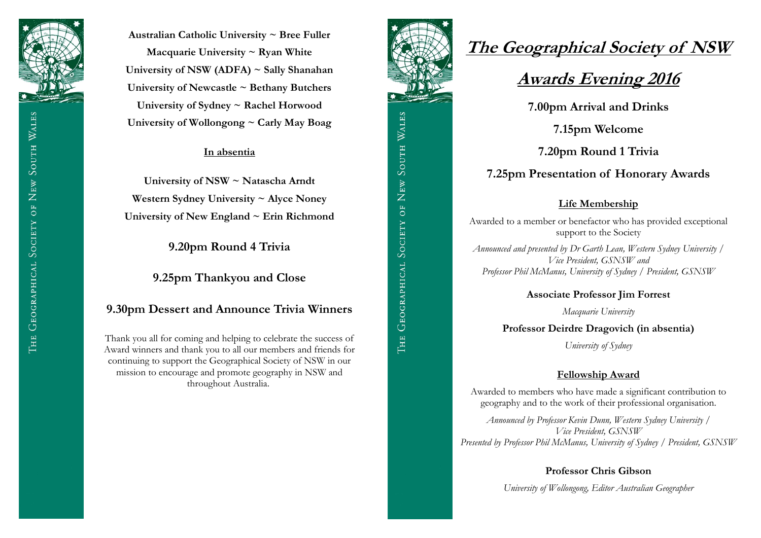

**Australian Catholic University ~ Bree Fuller Macquarie University ~ Ryan White University of NSW (ADFA) ~ Sally Shanahan University of Newcastle ~ Bethany Butchers University of Sydney ~ Rachel Horwood University of Wollongong ~ Carly May Boag**

#### **In absentia**

**University of NSW ~ Natascha Arndt Western Sydney University ~ Alyce Noney University of New England ~ Erin Richmond**

**9.20pm Round 4 Trivia**

**9.25pm Thankyou and Close**

### **9.30pm Dessert and Announce Trivia Winners**

Thank you all for coming and helping to celebrate the success of Award winners and thank you to all our members and friends for continuing to support the Geographical Society of NSW in our mission to encourage and promote geography in NSW and throughout Australia.



# **The Geographical Society of NSW**

# **Awards Evening 2016**

**7.00pm Arrival and Drinks**

**7.15pm Welcome** 

**7.20pm Round 1 Trivia**

## **7.25pm Presentation of Honorary Awards**

#### **Life Membership**

Awarded to a member or benefactor who has provided exceptional support to the Society

*Announced and presented by Dr Garth Lean, Western Sydney University / Vice President, GSNSW and Professor Phil McManus, University of Sydney / President, GSNSW*

#### **Associate Professor Jim Forrest**

*Macquarie University*

**Professor Deirdre Dragovich (in absentia)**

*University of Sydney*

#### **Fellowship Award**

Awarded to members who have made a significant contribution to geography and to the work of their professional organisation.

*Announced by Professor Kevin Dunn, Western Sydney University / Vice President, GSNSW Presented by Professor Phil McManus, University of Sydney / President, GSNSW*

#### **Professor Chris Gibson**

*University of Wollongong, Editor Australian Geographer*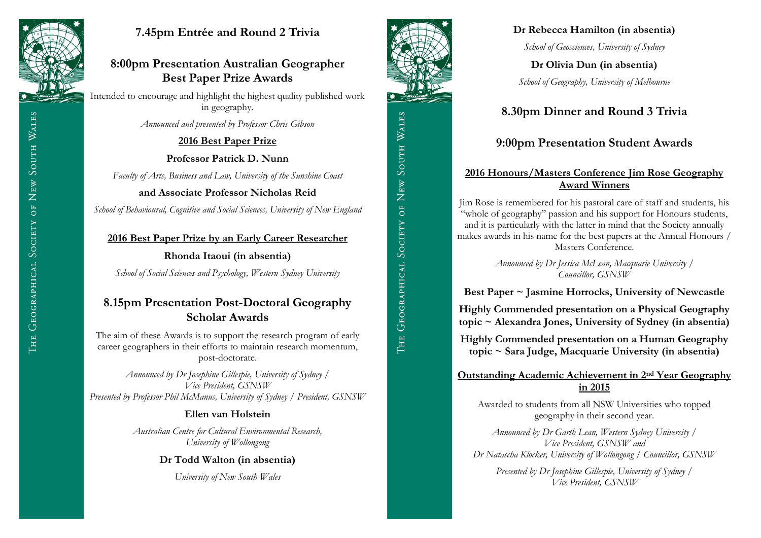

# **7.45pm Entrée and Round 2 Trivia**

# **8:00pm Presentation Australian Geographer Best Paper Prize Awards**

Intended to encourage and highlight the highest quality published work in geography.

*Announced and presented by Professor Chris Gibson*

### **2016 Best Paper Prize**

**Professor Patrick D. Nunn**

*Faculty of Arts, Business and Law, University of the Sunshine Coast*

**and Associate Professor Nicholas Reid**

*School of Behavioural, Cognitive and Social Sciences, University of New England*

#### **2016 Best Paper Prize by an Early Career Researcher**

**Rhonda Itaoui (in absentia)**

*School of Social Sciences and Psychology, Western Sydney University*

# **8.15pm Presentation Post-Doctoral Geography Scholar Awards**

The aim of these Awards is to support the research program of early career geographers in their efforts to maintain research momentum, post-doctorate.

*Announced by Dr Josephine Gillespie, University of Sydney / Vice President, GSNSW Presented by Professor Phil McManus, University of Sydney / President, GSNSW* 

## **Ellen van Holstein**

*Australian Centre for Cultural Environmental Research, University of Wollongong* 

**Dr Todd Walton (in absentia)**

*University of New South Wales* 



## **Dr Rebecca Hamilton (in absentia)**

*School of Geosciences, University of Sydney* 

**Dr Olivia Dun (in absentia)** *School of Geography, University of Melbourne*

# **8.30pm Dinner and Round 3 Trivia**

# **9:00pm Presentation Student Awards**

### **2016 Honours/Masters Conference Jim Rose Geography Award Winners**

Jim Rose is remembered for his pastoral care of staff and students, his "whole of geography" passion and his support for Honours students, and it is particularly with the latter in mind that the Society annually makes awards in his name for the best papers at the Annual Honours / Masters Conference.

> *Announced by Dr Jessica McLean, Macquarie University / Councillor, GSNSW*

**Best Paper ~ Jasmine Horrocks, University of Newcastle**

**Highly Commended presentation on a Physical Geography topic ~ Alexandra Jones, University of Sydney (in absentia)**

**Highly Commended presentation on a Human Geography topic ~ Sara Judge, Macquarie University (in absentia)**

#### **Outstanding Academic Achievement in 2nd Year Geography in 2015**

Awarded to students from all NSW Universities who topped geography in their second year.

*Announced by Dr Garth Lean, Western Sydney University / Vice President, GSNSW and Dr Natascha Klocker, University of Wollongong / Councillor, GSNSW*

*Presented by Dr Josephine Gillespie, University of Sydney / Vice President, GSNSW*